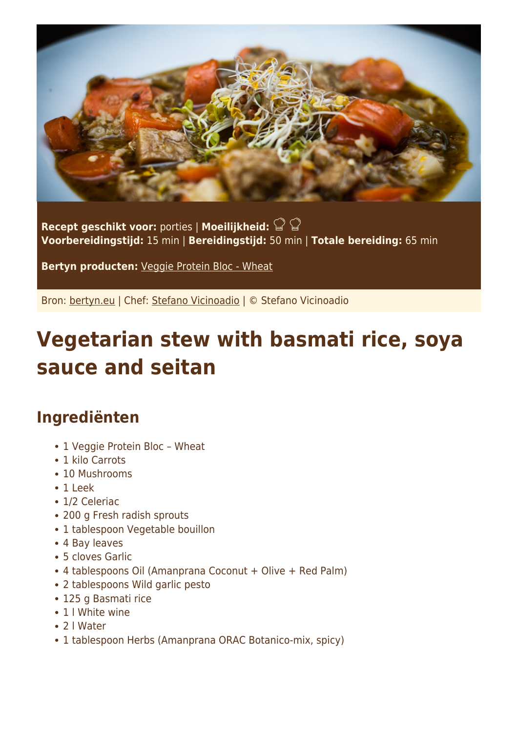

**Recept geschikt voor:** porties | **Moeilijkheid: Voorbereidingstijd:** 15 min | **Bereidingstijd:** 50 min | **Totale bereiding:** 65 min

**Bertyn producten:** [Veggie Protein Bloc - Wheat](https://www.bertyn.eu/en/product/veggie-protein-bloc-wheat/)

Bron: [bertyn.eu](https://www.bertyn.eu/en/recipe/vegetarian-stew-with-basmati-rice-soya-sauce-and-seitan/) | Chef: [Stefano Vicinoadio](https://www.bertyn.eu/en/author/) | © Stefano Vicinoadio

## **Vegetarian stew with basmati rice, soya sauce and seitan**

## **Ingrediënten**

- 1 Veggie Protein Bloc Wheat
- 1 kilo Carrots
- 10 Mushrooms
- 1 Leek
- 1/2 Celeriac
- 200 g Fresh radish sprouts
- 1 tablespoon Vegetable bouillon
- 4 Bay leaves
- 5 cloves Garlic
- 4 tablespoons Oil (Amanprana Coconut + Olive + Red Palm)
- 2 tablespoons Wild garlic pesto
- 125 g Basmati rice
- 1 I White wine
- 2 l Water
- 1 tablespoon Herbs (Amanprana ORAC Botanico-mix, spicy)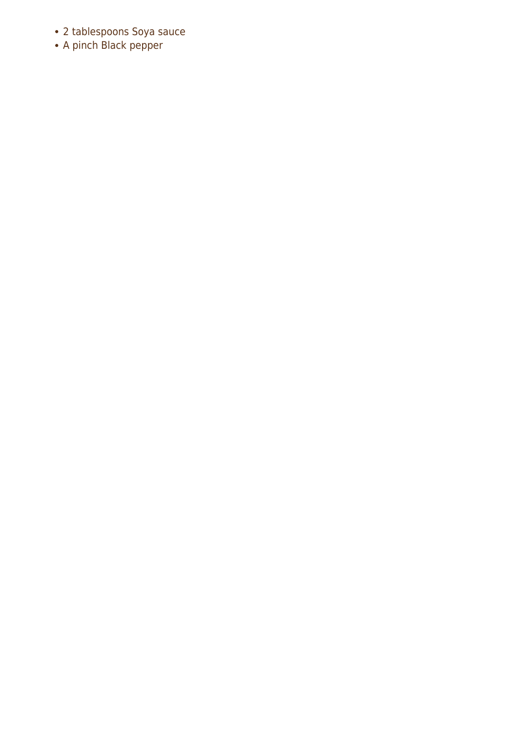- 2 tablespoons Soya sauce<br>• A pinch Black pepper
-